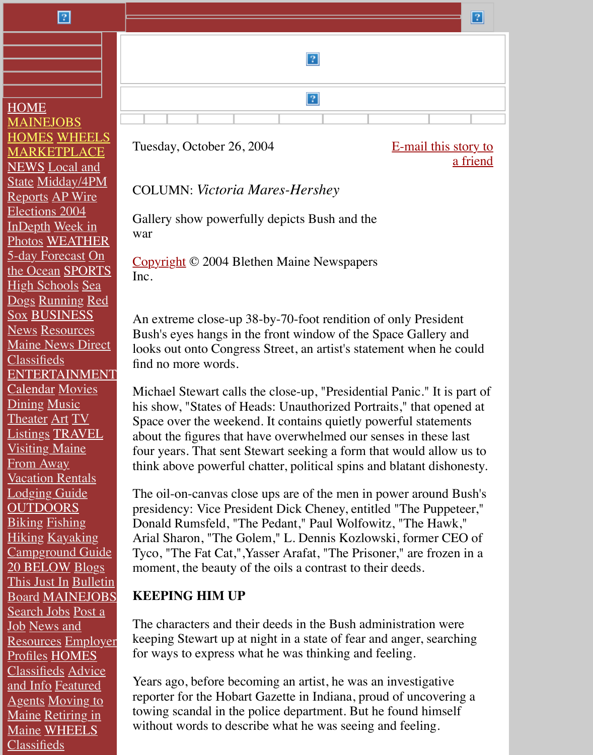HOME **[MAINEJOBS](http://www.mainetoday.com/)** HOMES WHEELS [MARKETPLACE](http://www.kjonline.com/) **NEWS** [Local and](http://www.onlinesentinel.com/) State [Midday/4PM](http://www.wmtw.com/) Reports AP Wire [Election](http://www.mainetoday.com/)s 2004 [InDepth](http://mainejobs.mainetoday.com/) Week in [Photos](http://homes.mainetoday.com/) [WEATHER](http://wheels.mainetoday.com/) [5-day Forecast](http://marketplace.mainetoday.com/) On [the Oce](http://news.mainetoday.com/)an SPORTS [High Schools](http://news.mainetoday.com/) Sea Dogs R[unning](http://news.mainetoday.com/apwire/) Red Sox [BUSINESS](http://www.mainetoday.com/elections/2004/) [News](http://news.mainetoday.com/indepth) Resources [Maine News Dir](http://news.mainetoday.com/weekinphotos/)[ect](http://weather.mainetoday.com/) **[Classifieds](http://weather.mainetoday.com/)** [ENTERTAINME](http://weather.mainetoday.com/)[NT](http://sports.mainetoday.com/) [Calendar](http://sports.mainetoday.com/seadogs/) Movies **Dining [Music](http://sports.mainetoday.com/running/)** [Theater](http://sports.mainetoday.com/pro/redsox/) [Art](http://business.mainetoday.com/) TV [Listin](http://business.mainetoday.com/)gs [TRAVEL](http://business.mainetoday.com/resources/) [Visiting Maine](http://business.mainetoday.com/newsdirect/) [From Away](http://business.mainetoday.com/classifieds/) [Vacation Rentals](http://entertainment.mainetoday.com/) [Lodging](http://calendar.mainetoday.com/) [Guide](http://movies.mainetoday.com/) **[OUTD](http://entertainment.mainetoday.com/dining/)[OORS](http://entertainment.mainetoday.com/music/)** [Biking](http://entertainment.mainetoday.com/theater/) [Fish](http://entertainment.mainetoday.com/art/)ing Hiking [Kayaki](http://entertainment.mainetoday.com/tv/)[ng](http://travel.mainetoday.com/) [Campground G](http://travel.mainetoday.com/)uide [20 BELOW](http://travel.mainetoday.com/fromaway/) Blogs [This Just In](http://travel.mainetoday.com/advertising/vacationrentals/) Bulletin Board [MAINEJ](http://travel.mainetoday.com/advertising/lodging/)OBS [Search Jobs](http://outdoors.mainetoday.com/) Post a **[Job](http://outdoors.mainetoday.com/biking/)** Ne[ws and](http://outdoors.mainetoday.com/fishing/) [Resour](http://outdoors.mainetoday.com/hiking/)ces [Emplo](http://outdoors.mainetoday.com/kayaking)yer Profiles [HOMES](http://outdoors.mainetoday.com/advertising/campgrounds/) [Classifieds](http://20below.mainetoday.com/) [Advice](http://20below.mainetoday.com/blogs/) [and Info](http://20below.mainetoday.com/press/) Featured Agents [Moving to](http://bulletinboard.mainetoday.com/cat.html?cat=20b) [Maine](http://mainejobs.mainetoday.com/moreoptions.html) [Retiring in](http://mainejobs.mainetoday.com/postajob/?a=n) Maine WHEELS [Classifieds](http://mainejobs.mainetoday.com/employerprofiles.html)



[Tuesday, October 26, 2004](http://oas.portland.com/RealMedia/ads/click.cgi/www.portland.com/news/view.shtml@Top?x)

E-mail this story to a friend

## COLUMN: *Victoria Mares-Hershey*

[G](file:///home.shtml)[aller](file:///news/index.shtml)[y sho](file:///sports/index.shtml)[w](file:///stewartartworks/stewart%20press/states%20of%20heads%20press/index.shtml) [powe](file:///business/index.shtml)[rfully de](file:///viewpoints/index.shtml)[picts Bu](file:///obits/index.shtml)[sh and t](http://www.pressherald.com/classifieds)[h](file:///stewartartworks/stewart%20press/states%20of%20heads%20press/index.shtml)[e](file:///specialrpts/index.shtml) war

Copyright © 2004 Blethen Maine Newspapers Inc.

An extreme close-up 38-by-70-foot rendition of only President Bush's eyes hangs in the front window of the Space Gallery and looks out onto Congress Street, an artist's statement when he could [find no mo](file:///copyright.shtml)re words.

Michael Stewart calls the close-up, "Presidential Panic." It is part of his show, "States of Heads: Unauthorized Portraits," that opened at Space over the weekend. It contains quietly powerful statements about the figures that have overwhelmed our senses in these last four years. That sent Stewart seeking a form that would allow us to think above powerful chatter, political spins and blatant dishonesty.

The oil-on-canvas close ups are of the men in power around Bush's presidency: Vice President Dick Cheney, entitled "The Puppeteer," Donald Rumsfeld, "The Pedant," Paul Wolfowitz, "The Hawk," Arial Sharon, "The Golem," L. Dennis Kozlowski, former CEO of Tyco, "The Fat Cat,",Yasser Arafat, "The Prisoner," are frozen in a moment, the beauty of the oils a contrast to their deeds.

#### **KEEPING HIM UP**

The characters and their deeds in the Bush administration were keeping Stewart up at night in a state of fear and anger, searching for ways to express what he was thinking and feeling.

Years ago, before becoming an artist, he was an investigative reporter for the Hobart Gazette in Indiana, proud of uncovering a towing scandal in the police department. But he found himself without words to describe what he was seeing and feeling.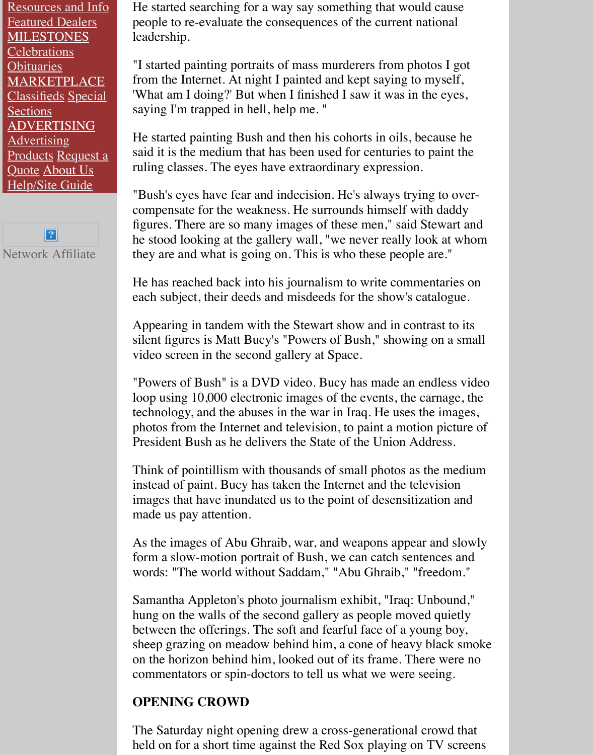**[Sections](http://wheels.mainetoday.com/resources/)** [ADVERTISING](http://wheels.mainetoday.com/) **[Advertising](http://milestones.mainetoday.com/)** [Products](http://milestones.mainetoday.com/celebrations) Request a [Quote](http://milestones.mainetoday.com/) About Us **[Help/Site Guide](http://marketplace.mainetoday.com/)** 

Classifieds Special



saying I'm trapped in hell, help me. "

He started painting Bush and then his cohorts in oils, because he said it is the medium that has been used for centuries to paint the ruling classes. The eyes have extraordinary expression.

"Bush's eyes have fear and indecision. He's always trying to overcompensate for the weakness. He surrounds himself with daddy figures. There are so many images of these men," said Stewart and he stood looking at the gallery wall, "we never really look at whom they are and what is going on. This is who these people are."

He has reached back into his journalism to write commentaries on each subject, their deeds and misdeeds for the show's catalogue.

Appearing in tandem with the Stewart show and in contrast to its silent figures is Matt Bucy's "Powers of Bush," showing on a small video screen in the second gallery at Space.

"Powers of Bush" is a DVD video. Bucy has made an endless video loop using 10,000 electronic images of the events, the carnage, the technology, and the abuses in the war in Iraq. He uses the images, photos from the Internet and television, to paint a motion picture of President Bush as he delivers the State of the Union Address.

Think of pointillism with thousands of small photos as the medium instead of paint. Bucy has taken the Internet and the television images that have inundated us to the point of desensitization and made us pay attention.

As the images of Abu Ghraib, war, and weapons appear and slowly form a slow-motion portrait of Bush, we can catch sentences and words: "The world without Saddam," "Abu Ghraib," "freedom."

Samantha Appleton's photo journalism exhibit, "Iraq: Unbound," hung on the walls of the second gallery as people moved quietly between the offerings. The soft and fearful face of a young boy, sheep grazing on meadow behind him, a cone of heavy black smoke on the horizon behind him, looked out of its frame. There were no commentators or spin-doctors to tell us what we were seeing.

#### **OPENING CROWD**

The Saturday night opening drew a cross-generational crowd that held on for a short time against the Red Sox playing on TV screens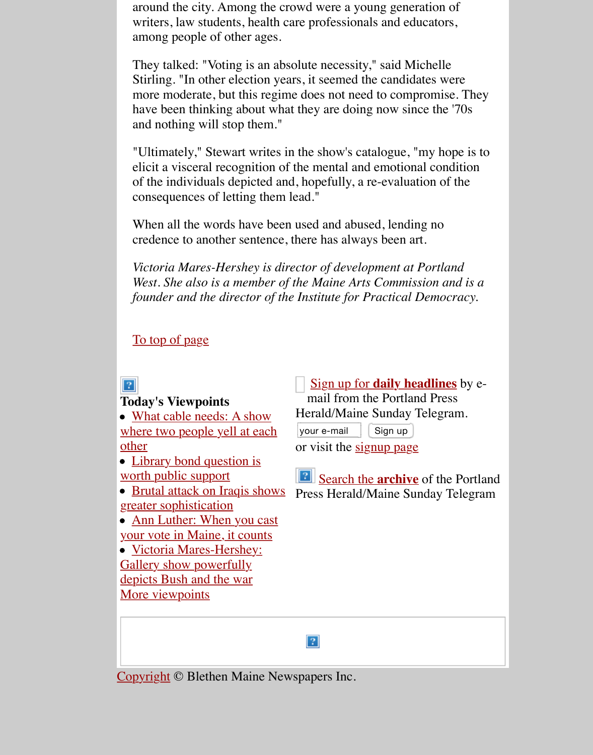have been thinking about what they are doing now since the '70s and nothing will stop them."

"Ultimately," Stewart writes in the show's catalogue, "my hope is to elicit a visceral recognition of the mental and emotional condition of the individuals depicted and, hopefully, a re-evaluation of the consequences of letting them lead."

When all the words have been used and abused, lending no credence to another sentence, there has always been art.

*Victoria Mares-Hershey is director of development at Portland West. She also is a member of the Maine Arts Commission and is a founder and the director of the Institute for Practical Democracy.*

To top of page

### $|2|$

#### **Today's Viewpoints**

• What cable needs: A show w[here two people](file:///stewartartworks/stewart%20press/states%20of%20heads%20press/Gallery%20show%20po%E2%80%A6nd%20the%20war.html#top) yell at each other

• Library bond question is worth public support

• Brutal attack on Iraqis shows greater sophistication

• Ann Luther: When you cast [your vote in Maine, it counts](http://pressherald.mainetoday.com/viewpoints/editorials/041026stewart.shtml)

• Victoria Mares-Hershey: [Gallery show powerfully](http://pressherald.mainetoday.com/viewpoints/editorials/041026library.shtml) depicts Bush and the war [More viewpoints](http://pressherald.mainetoday.com/viewpoints/editorials/041026iraq.shtml)

Sign up for **daily headlines** by email from the Portland Press

Herald/Maine Sunday Telegram.

your e-mail  $\left| \right|$  Sign up

or visit the signup page

**Parabilie 3** Search the **archive** of the Portland Pr[ess Herald/Maine Sunday Te](http://www.pressherald.com/email/eheadlines/)legram

 $|2|$ 

Copyright [© Blethen Maine](http://pressherald.mainetoday.com/viewpoints/cvoice/041026victoria.shtml) Newspapers Inc.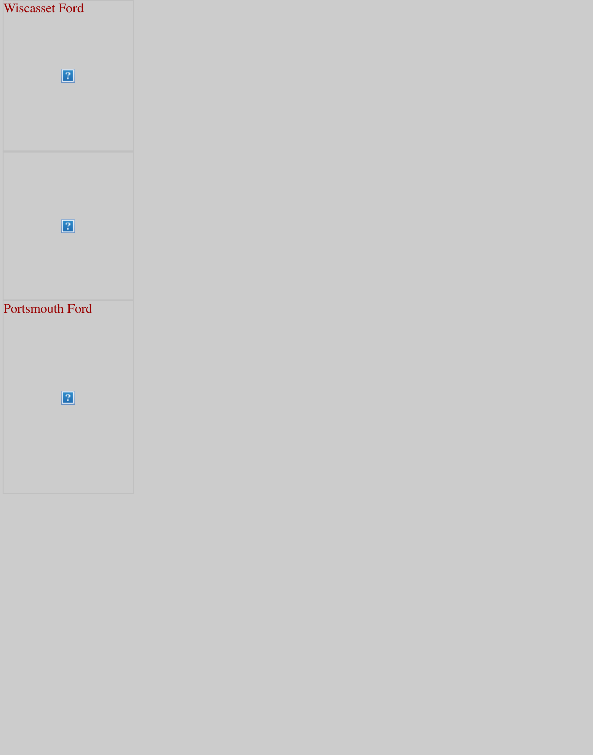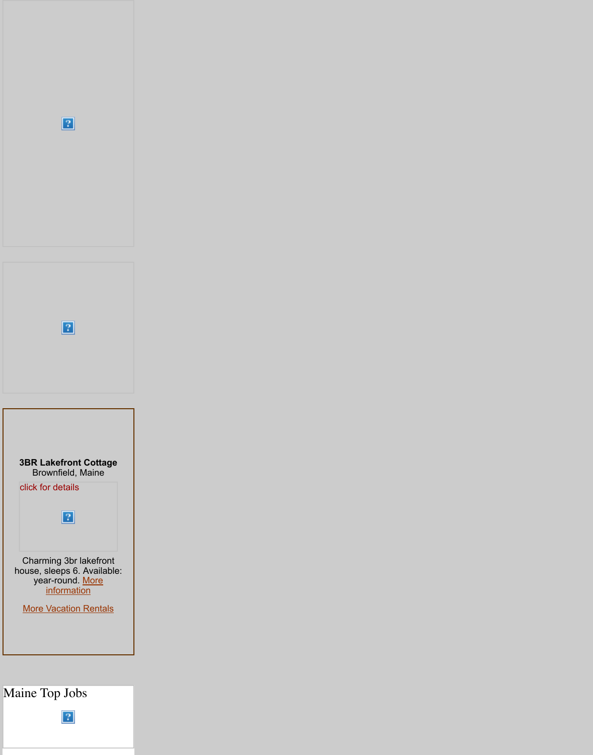

# Maine [Top Jobs](http://travel.mainetoday.com/advertising/vacationrentals/listing.html?id=626181965®ion=Western+Lakes+%26+Mountains)